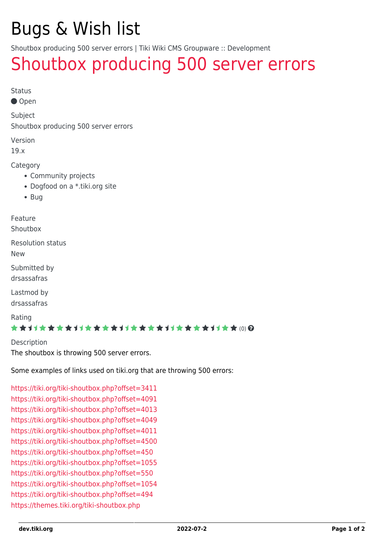# Bugs & Wish list

Shoutbox producing 500 server errors | Tiki Wiki CMS Groupware :: Development

## [Shoutbox producing 500 server errors](https://dev.tiki.org/item6942-Shoutbox-producing-500-server-errors)

Status

Open

Subject

Shoutbox producing 500 server errors

Version

19.x

Category

- Community projects
- Dogfood on a \*.tiki.org site
- Bug

Feature

Shoutbox

Resolution status

New

Submitted by drsassafras

Lastmod by drsassafras

Rating

#### \*\*\*\*\*\*\*\*\*\*\*\*\*\*\*\*\*\*\*\*\*\*\*\*\*\*\*\*\*\*

Description The shoutbox is throwing 500 server errors.

Some examples of links used on tiki.org that are throwing 500 errors:

<https://tiki.org/tiki-shoutbox.php?offset=3411> <https://tiki.org/tiki-shoutbox.php?offset=4091> <https://tiki.org/tiki-shoutbox.php?offset=4013> <https://tiki.org/tiki-shoutbox.php?offset=4049> <https://tiki.org/tiki-shoutbox.php?offset=4011> <https://tiki.org/tiki-shoutbox.php?offset=4500> <https://tiki.org/tiki-shoutbox.php?offset=450> <https://tiki.org/tiki-shoutbox.php?offset=1055> <https://tiki.org/tiki-shoutbox.php?offset=550> <https://tiki.org/tiki-shoutbox.php?offset=1054> <https://tiki.org/tiki-shoutbox.php?offset=494> <https://themes.tiki.org/tiki-shoutbox.php>